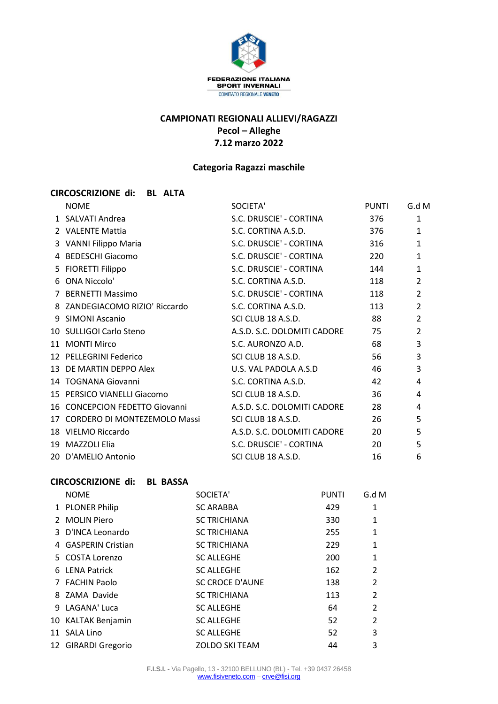

# **CAMPIONATI REGIONALI ALLIEVI/RAGAZZI Pecol – Alleghe 7.12 marzo 2022**

### **Categoria Ragazzi maschile**

### **CIRCOSCRIZIONE di: BL ALTA**

| <b>NOME</b>                     | SOCIETA'                    | <b>PUNTI</b> | G.d M          |
|---------------------------------|-----------------------------|--------------|----------------|
| 1 SALVATI Andrea                | S.C. DRUSCIE' - CORTINA     | 376          | $\mathbf{1}$   |
| 2 VALENTE Mattia                | S.C. CORTINA A.S.D.         | 376          | $\mathbf{1}$   |
| 3 VANNI Filippo Maria           | S.C. DRUSCIE' - CORTINA     | 316          | $\mathbf{1}$   |
| 4 BEDESCHI Giacomo              | S.C. DRUSCIE' - CORTINA     | 220          | 1              |
| 5 FIORETTI Filippo              | S.C. DRUSCIE' - CORTINA     | 144          | $\mathbf{1}$   |
| 6 ONA Niccolo'                  | S.C. CORTINA A.S.D.         | 118          | 2              |
| 7 BERNETTI Massimo              | S.C. DRUSCIE' - CORTINA     | 118          | $\overline{2}$ |
| 8 ZANDEGIACOMO RIZIO' Riccardo  | S.C. CORTINA A.S.D.         | 113          | 2              |
| 9 SIMONI Ascanio                | SCI CLUB 18 A.S.D.          | 88           | $\overline{2}$ |
| 10 SULLIGOI Carlo Steno         | A.S.D. S.C. DOLOMITI CADORE | 75           | $\overline{2}$ |
| 11 MONTI Mirco                  | S.C. AURONZO A.D.           | 68           | 3              |
| 12 PELLEGRINI Federico          | SCI CLUB 18 A.S.D.          | 56           | 3              |
| 13 DE MARTIN DEPPO Alex         | U.S. VAL PADOLA A.S.D       | 46           | 3              |
| 14 TOGNANA Giovanni             | S.C. CORTINA A.S.D.         | 42           | 4              |
| 15 PERSICO VIANELLI Giacomo     | SCI CLUB 18 A.S.D.          | 36           | 4              |
| 16 CONCEPCION FEDETTO Giovanni  | A.S.D. S.C. DOLOMITI CADORE | 28           | 4              |
| 17 CORDERO DI MONTEZEMOLO Massi | SCI CLUB 18 A.S.D.          | 26           | 5              |
| 18 VIELMO Riccardo              | A.S.D. S.C. DOLOMITI CADORE | 20           | 5              |
| 19 MAZZOLI Elia                 | S.C. DRUSCIE' - CORTINA     | 20           | 5              |
| 20 D'AMELIO Antonio             | SCI CLUB 18 A.S.D.          | 16           | 6              |

## **CIRCOSCRIZIONE di: BL BASSA**

| <b>NOME</b>         | SOCIETA'               | <b>PUNTI</b> | G.dM           |
|---------------------|------------------------|--------------|----------------|
| 1 PLONER Philip     | <b>SC ARABBA</b>       | 429          | 1              |
| 2 MOLIN Piero       | <b>SC TRICHIANA</b>    | 330          | 1              |
| 3 D'INCA Leonardo   | <b>SC TRICHIANA</b>    | 255          | 1              |
| 4 GASPERIN Cristian | <b>SC TRICHIANA</b>    | 229          | 1              |
| 5 COSTA Lorenzo     | <b>SC ALLEGHE</b>      | 200          | 1              |
| 6 LENA Patrick      | <b>SC ALLEGHE</b>      | 162          | $\overline{2}$ |
| 7 FACHIN Paolo      | <b>SC CROCE D'AUNE</b> | 138          | $\overline{2}$ |
| 8 ZAMA Davide       | <b>SC TRICHIANA</b>    | 113          | $\overline{2}$ |
| 9 LAGANA' Luca      | <b>SC ALLEGHE</b>      | 64           | $\overline{2}$ |
| 10 KALTAK Benjamin  | <b>SC ALLEGHE</b>      | 52           | $\overline{2}$ |
| 11 SALA Lino        | <b>SC ALLEGHE</b>      | 52           | 3              |
| 12 GIRARDI Gregorio | <b>ZOLDO SKI TEAM</b>  | 44           | 3              |